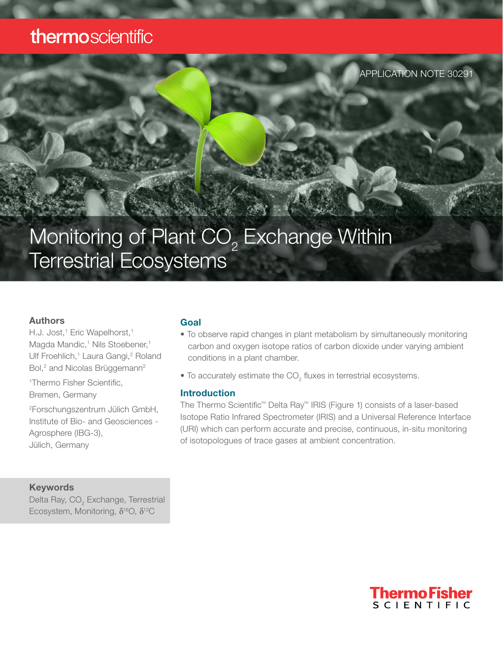## thermoscientific

APPLICATION NOTE 30291

# Monitoring of Plant  $\mathrm{CO}_2$  Exchange Within Terrestrial Ecosystems

#### Authors

H.J. Jost,<sup>1</sup> Eric Wapelhorst,<sup>1</sup> Magda Mandic,<sup>1</sup> Nils Stoebener,<sup>1</sup> Ulf Froehlich,<sup>1</sup> Laura Gangi,<sup>2</sup> Roland Bol,<sup>2</sup> and Nicolas Brüggemann<sup>2</sup>

1 Thermo Fisher Scientific,

Bremen, Germany

2 Forschungszentrum Jülich GmbH, Institute of Bio- and Geosciences - Agrosphere (IBG-3), Jülich, Germany

#### Keywords

Delta Ray, CO $_{_2}$  Exchange, Terrestrial Ecosystem, Monitoring, δ18O, δ13C

#### Goal

- To observe rapid changes in plant metabolism by simultaneously monitoring carbon and oxygen isotope ratios of carbon dioxide under varying ambient conditions in a plant chamber.
- $\bullet$  To accurately estimate the CO<sub>2</sub> fluxes in terrestrial ecosystems.

#### Introduction

The Thermo Scientific™ Delta Ray™ IRIS (Figure 1) consists of a laser-based Isotope Ratio Infrared Spectrometer (IRIS) and a Universal Reference Interface (URI) which can perform accurate and precise, continuous, in-situ monitoring of isotopologues of trace gases at ambient concentration.

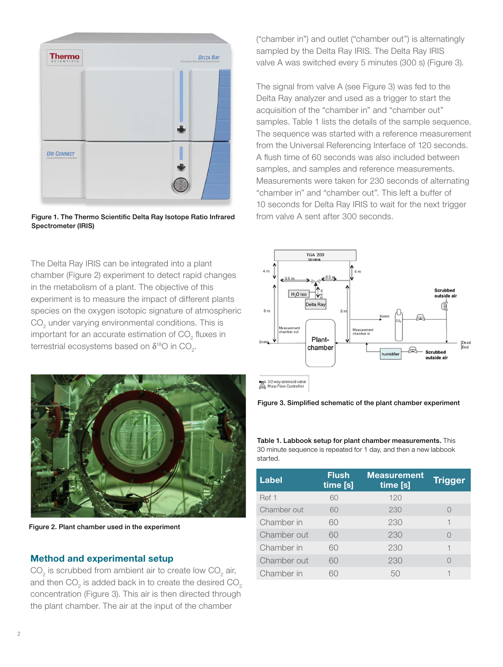

Figure 1. The Thermo Scientific Delta Ray Isotope Ratio Infrared from valve A sent after 300 seconds. Spectrometer (IRIS)

The Delta Ray IRIS can be integrated into a plant chamber (Figure 2) experiment to detect rapid changes in the metabolism of a plant. The objective of this experiment is to measure the impact of different plants species on the oxygen isotopic signature of atmospheric  $\mathrm{CO}_2^{}$  under varying environmental conditions. This is important for an accurate estimation of CO<sub>2</sub> fluxes in terrestrial ecosystems based on  $\delta^{_{18}\rm O}$  in CO<sub>2</sub>.



Figure 2. Plant chamber used in the experiment

#### Method and experimental setup

 $\mathrm{CO}_2$  is scrubbed from ambient air to create low  $\mathrm{CO}_2$  air, and then CO<sub>2</sub> is added back in to create the desired CO<sub>2</sub> concentration (Figure 3). This air is then directed through the plant chamber. The air at the input of the chamber

("chamber in") and outlet ("chamber out") is alternatingly sampled by the Delta Ray IRIS. The Delta Ray IRIS valve A was switched every 5 minutes (300 s) (Figure 3).

The signal from valve A (see Figure 3) was fed to the Delta Ray analyzer and used as a trigger to start the acquisition of the "chamber in" and "chamber out" samples. Table 1 lists the details of the sample sequence. The sequence was started with a reference measurement from the Universal Referencing Interface of 120 seconds. A flush time of 60 seconds was also included between samples, and samples and reference measurements. Measurements were taken for 230 seconds of alternating "chamber in" and "chamber out". This left a buffer of 10 seconds for Delta Ray IRIS to wait for the next trigger



3/2 way solenoid valve<br>and Mass Flow Controller



Table 1. Labbook setup for plant chamber measurements. This 30 minute sequence is repeated for 1 day, and then a new labbook started.

| <b>Label</b> | <b>Flush</b><br>time [s] | <b>Measurement</b><br>time [s] | <b>Trigger</b> |
|--------------|--------------------------|--------------------------------|----------------|
| Ref 1        | 60                       | 120                            |                |
| Chamber out  | 60                       | 230                            |                |
| Chamber in   | 60                       | 230                            |                |
| Chamber out  | 60                       | 230                            |                |
| Chamber in   | 60                       | 230                            |                |
| Chamber out  | 60                       | 230                            |                |
| Chamber in   | ഹ                        | 50                             |                |